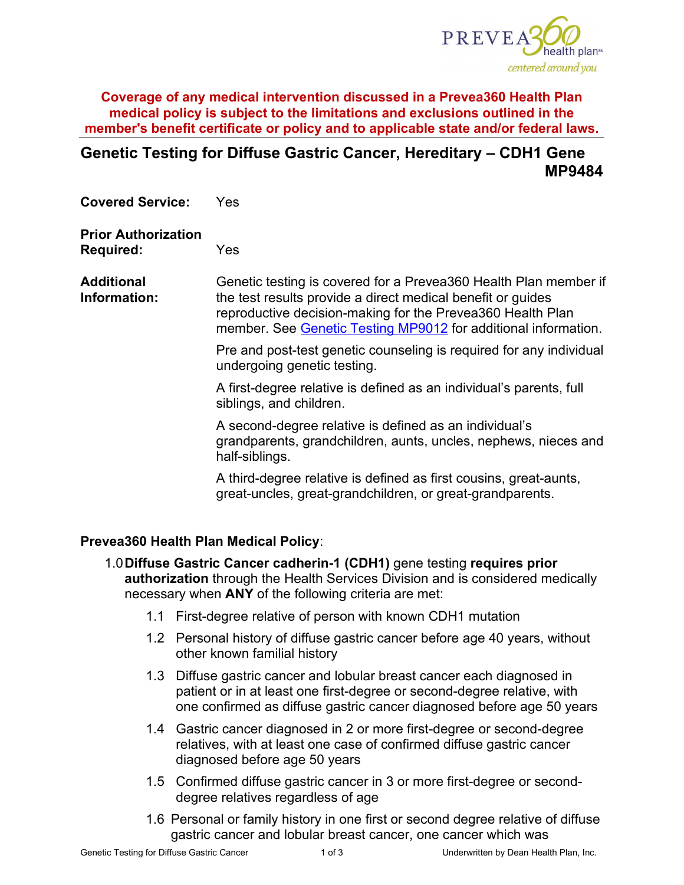

**Coverage of any medical intervention discussed in a Prevea360 Health Plan medical policy is subject to the limitations and exclusions outlined in the member's benefit certificate or policy and to applicable state and/or federal laws.**

# **Genetic Testing for Diffuse Gastric Cancer, Hereditary – CDH1 Gene MP9484**

**Covered Service:** Yes

#### **Prior Authorization**

**Required:** Yes

**Additional Information:** Genetic testing is covered for a Prevea360 Health Plan member if the test results provide a direct medical benefit or guides reproductive decision-making for the Prevea360 Health Plan member. See [Genetic Testing MP9012](https://www.prevea360.com/DocumentLibrary/PDF/Medical-Policies/Genetic-Testing-9012) for additional information.

> Pre and post-test genetic counseling is required for any individual undergoing genetic testing.

A first-degree relative is defined as an individual's parents, full siblings, and children.

A second-degree relative is defined as an individual's grandparents, grandchildren, aunts, uncles, nephews, nieces and half-siblings.

A third-degree relative is defined as first cousins, great-aunts, great-uncles, great-grandchildren, or great-grandparents.

#### **Prevea360 Health Plan Medical Policy**:

- 1.0**Diffuse Gastric Cancer cadherin-1 (CDH1)** gene testing **requires prior authorization** through the Health Services Division and is considered medically necessary when **ANY** of the following criteria are met:
	- 1.1 First-degree relative of person with known CDH1 mutation
	- 1.2 Personal history of diffuse gastric cancer before age 40 years, without other known familial history
	- 1.3 Diffuse gastric cancer and lobular breast cancer each diagnosed in patient or in at least one first-degree or second-degree relative, with one confirmed as diffuse gastric cancer diagnosed before age 50 years
	- 1.4 Gastric cancer diagnosed in 2 or more first-degree or second-degree relatives, with at least one case of confirmed diffuse gastric cancer diagnosed before age 50 years
	- 1.5 Confirmed diffuse gastric cancer in 3 or more first-degree or seconddegree relatives regardless of age
	- 1.6 Personal or family history in one first or second degree relative of diffuse gastric cancer and lobular breast cancer, one cancer which was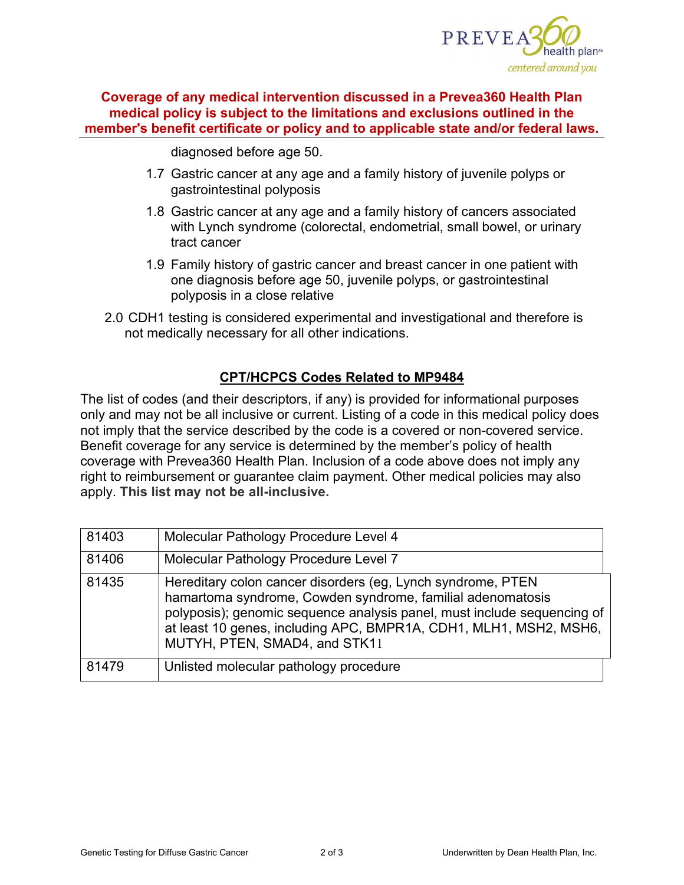

**Coverage of any medical intervention discussed in a Prevea360 Health Plan medical policy is subject to the limitations and exclusions outlined in the member's benefit certificate or policy and to applicable state and/or federal laws.**

diagnosed before age 50.

- 1.7 Gastric cancer at any age and a family history of juvenile polyps or gastrointestinal polyposis
- 1.8 Gastric cancer at any age and a family history of cancers associated with Lynch syndrome (colorectal, endometrial, small bowel, or urinary tract cancer
- 1.9 Family history of gastric cancer and breast cancer in one patient with one diagnosis before age 50, juvenile polyps, or gastrointestinal polyposis in a close relative
- 2.0 CDH1 testing is considered experimental and investigational and therefore is not medically necessary for all other indications.

## **CPT/HCPCS Codes Related to MP9484**

The list of codes (and their descriptors, if any) is provided for informational purposes only and may not be all inclusive or current. Listing of a code in this medical policy does not imply that the service described by the code is a covered or non-covered service. Benefit coverage for any service is determined by the member's policy of health coverage with Prevea360 Health Plan. Inclusion of a code above does not imply any right to reimbursement or guarantee claim payment. Other medical policies may also apply. **This list may not be all-inclusive.**

| 81403 | Molecular Pathology Procedure Level 4                                                                                                                                                                                                                                                                      |  |
|-------|------------------------------------------------------------------------------------------------------------------------------------------------------------------------------------------------------------------------------------------------------------------------------------------------------------|--|
| 81406 | Molecular Pathology Procedure Level 7                                                                                                                                                                                                                                                                      |  |
| 81435 | Hereditary colon cancer disorders (eg, Lynch syndrome, PTEN<br>hamartoma syndrome, Cowden syndrome, familial adenomatosis<br>polyposis); genomic sequence analysis panel, must include sequencing of<br>at least 10 genes, including APC, BMPR1A, CDH1, MLH1, MSH2, MSH6,<br>MUTYH, PTEN, SMAD4, and STK11 |  |
| 81479 | Unlisted molecular pathology procedure                                                                                                                                                                                                                                                                     |  |